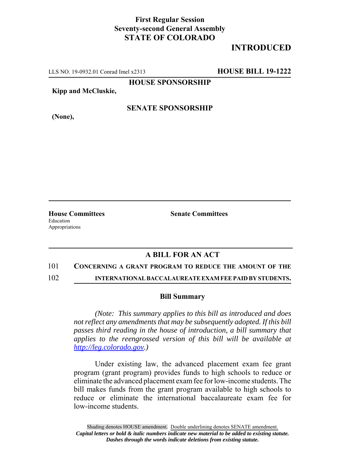## **First Regular Session Seventy-second General Assembly STATE OF COLORADO**

# **INTRODUCED**

LLS NO. 19-0932.01 Conrad Imel x2313 **HOUSE BILL 19-1222**

**HOUSE SPONSORSHIP**

**Kipp and McCluskie,**

**(None),**

### **SENATE SPONSORSHIP**

**House Committees Senate Committees** Education Appropriations

### **A BILL FOR AN ACT**

#### 101 **CONCERNING A GRANT PROGRAM TO REDUCE THE AMOUNT OF THE**

102 **INTERNATIONAL BACCALAUREATE EXAM FEE PAID BY STUDENTS.**

#### **Bill Summary**

*(Note: This summary applies to this bill as introduced and does not reflect any amendments that may be subsequently adopted. If this bill passes third reading in the house of introduction, a bill summary that applies to the reengrossed version of this bill will be available at http://leg.colorado.gov.)*

Under existing law, the advanced placement exam fee grant program (grant program) provides funds to high schools to reduce or eliminate the advanced placement exam fee for low-income students. The bill makes funds from the grant program available to high schools to reduce or eliminate the international baccalaureate exam fee for low-income students.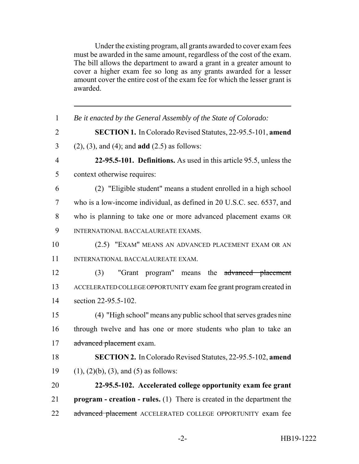Under the existing program, all grants awarded to cover exam fees must be awarded in the same amount, regardless of the cost of the exam. The bill allows the department to award a grant in a greater amount to cover a higher exam fee so long as any grants awarded for a lesser amount cover the entire cost of the exam fee for which the lesser grant is awarded.

| $\mathbf{1}$   | Be it enacted by the General Assembly of the State of Colorado:                 |
|----------------|---------------------------------------------------------------------------------|
| $\overline{2}$ | SECTION 1. In Colorado Revised Statutes, 22-95.5-101, amend                     |
| $\overline{3}$ | $(2)$ , $(3)$ , and $(4)$ ; and <b>add</b> $(2.5)$ as follows:                  |
| $\overline{4}$ | 22-95.5-101. Definitions. As used in this article 95.5, unless the              |
| 5              | context otherwise requires:                                                     |
| 6              | (2) "Eligible student" means a student enrolled in a high school                |
| $\tau$         | who is a low-income individual, as defined in 20 U.S.C. sec. 6537, and          |
| 8              | who is planning to take one or more advanced placement exams OR                 |
| 9              | INTERNATIONAL BACCALAUREATE EXAMS.                                              |
| 10             | (2.5) "EXAM" MEANS AN ADVANCED PLACEMENT EXAM OR AN                             |
| 11             | INTERNATIONAL BACCALAUREATE EXAM.                                               |
| 12             | "Grant program" means the advanced placement<br>(3)                             |
| 13             | ACCELERATED COLLEGE OPPORTUNITY exam fee grant program created in               |
| 14             | section 22-95.5-102.                                                            |
| 15             | (4) "High school" means any public school that serves grades nine               |
| 16             | through twelve and has one or more students who plan to take an                 |
| 17             | advanced placement exam.                                                        |
| 18             | SECTION 2. In Colorado Revised Statutes, 22-95.5-102, amend                     |
| 19             | $(1)$ , $(2)(b)$ , $(3)$ , and $(5)$ as follows:                                |
| 20             | 22-95.5-102. Accelerated college opportunity exam fee grant                     |
| 21             | <b>program</b> - creation - rules. $(1)$ There is created in the department the |
| 22             | advanced placement ACCELERATED COLLEGE OPPORTUNITY exam fee                     |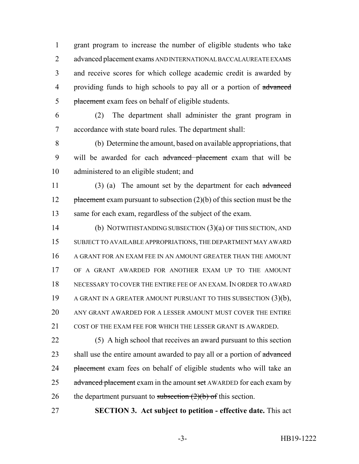grant program to increase the number of eligible students who take advanced placement exams AND INTERNATIONAL BACCALAUREATE EXAMS and receive scores for which college academic credit is awarded by 4 providing funds to high schools to pay all or a portion of advanced 5 placement exam fees on behalf of eligible students.

 (2) The department shall administer the grant program in accordance with state board rules. The department shall:

 (b) Determine the amount, based on available appropriations, that 9 will be awarded for each advanced placement exam that will be administered to an eligible student; and

 (3) (a) The amount set by the department for each advanced 12 placement exam pursuant to subsection  $(2)(b)$  of this section must be the same for each exam, regardless of the subject of the exam.

 (b) NOTWITHSTANDING SUBSECTION (3)(a) OF THIS SECTION, AND SUBJECT TO AVAILABLE APPROPRIATIONS, THE DEPARTMENT MAY AWARD A GRANT FOR AN EXAM FEE IN AN AMOUNT GREATER THAN THE AMOUNT OF A GRANT AWARDED FOR ANOTHER EXAM UP TO THE AMOUNT NECESSARY TO COVER THE ENTIRE FEE OF AN EXAM. IN ORDER TO AWARD A GRANT IN A GREATER AMOUNT PURSUANT TO THIS SUBSECTION (3)(b), ANY GRANT AWARDED FOR A LESSER AMOUNT MUST COVER THE ENTIRE COST OF THE EXAM FEE FOR WHICH THE LESSER GRANT IS AWARDED.

 (5) A high school that receives an award pursuant to this section 23 shall use the entire amount awarded to pay all or a portion of advanced 24 placement exam fees on behalf of eligible students who will take an 25 advanced placement exam in the amount set AWARDED for each exam by 26 the department pursuant to subsection  $(2)(b)$  of this section.

**SECTION 3. Act subject to petition - effective date.** This act